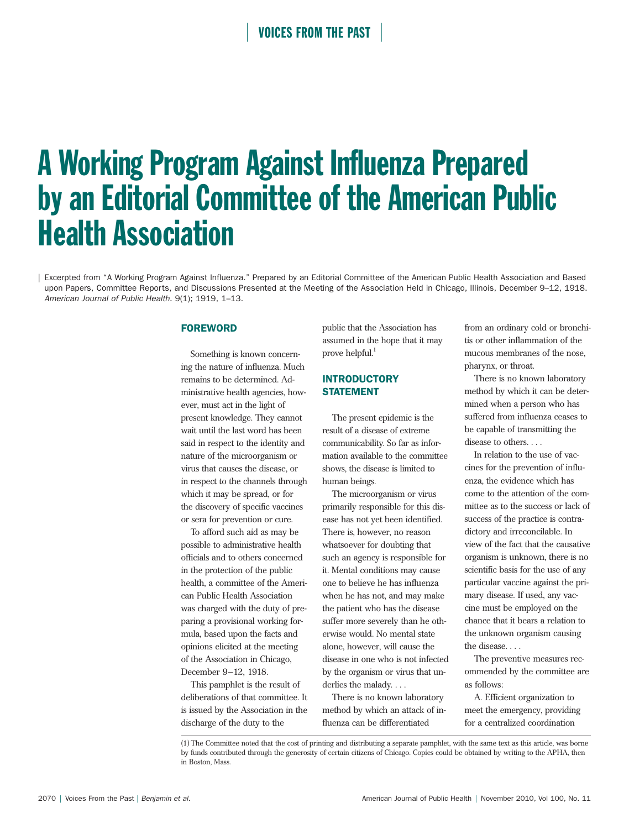# **VOICES FROM THE PAST**

# A Working Program Against Influenza Prepared by an Editorial Committee of the American Public Health Association

| Excerpted from "A Working Program Against Influenza." Prepared by an Editorial Committee of the American Public Health Association and Based upon Papers, Committee Reports, and Discussions Presented at the Meeting of the Association Held in Chicago, Illinois, December 9-12, 1918. *American Journal of Public Health*. 9(1); 1919, 1–13.

### FOREWORD

Something is known concerning the nature of influenza. Much remains to be determined. Administrative health agencies, however, must act in the light of present knowledge. They cannot wait until the last word has been said in respect to the identity and nature of the microorganism or virus that causes the disease, or in respect to the channels through which it may be spread, or for the discovery of specific vaccines or sera for prevention or cure.

To afford such aid as may be possible to administrative health officials and to others concerned in the protection of the public health, a committee of the American Public Health Association was charged with the duty of preparing a provisional working formula, based upon the facts and opinions elicited at the meeting of the Association in Chicago, December 9–12, 1918.

This pamphlet is the result of deliberations of that committee. It is issued by the Association in the discharge of the duty to the

public that the Association has assumed in the hope that it may prove helpful. $1$ 

# INTRODUCTORY STATEMENT

The present epidemic is the result of a disease of extreme communicability. So far as information available to the committee shows, the disease is limited to human beings.

The microorganism or virus primarily responsible for this disease has not yet been identified. There is, however, no reason whatsoever for doubting that such an agency is responsible for it. Mental conditions may cause one to believe he has influenza when he has not, and may make the patient who has the disease suffer more severely than he otherwise would. No mental state alone, however, will cause the disease in one who is not infected by the organism or virus that underlies the malady. . . .

There is no known laboratory method by which an attack of influenza can be differentiated

from an ordinary cold or bronchitis or other inflammation of the mucous membranes of the nose, pharynx, or throat.

There is no known laboratory method by which it can be determined when a person who has suffered from influenza ceases to be capable of transmitting the disease to others. . . .

In relation to the use of vaccines for the prevention of influenza, the evidence which has come to the attention of the committee as to the success or lack of success of the practice is contradictory and irreconcilable. In view of the fact that the causative organism is unknown, there is no scientific basis for the use of any particular vaccine against the primary disease. If used, any vaccine must be employed on the chance that it bears a relation to the unknown organism causing the disease. . . .

The preventive measures recommended by the committee are as follows:

A. Efficient organization to meet the emergency, providing for a centralized coordination

<sup>(1)</sup> The Committee noted that the cost of printing and distributing a separate pamphlet, with the same text as this article, was borne by funds contributed through the generosity of certain citizens of Chicago. Copies could be obtained by writing to the APHA, then in Boston, Mass.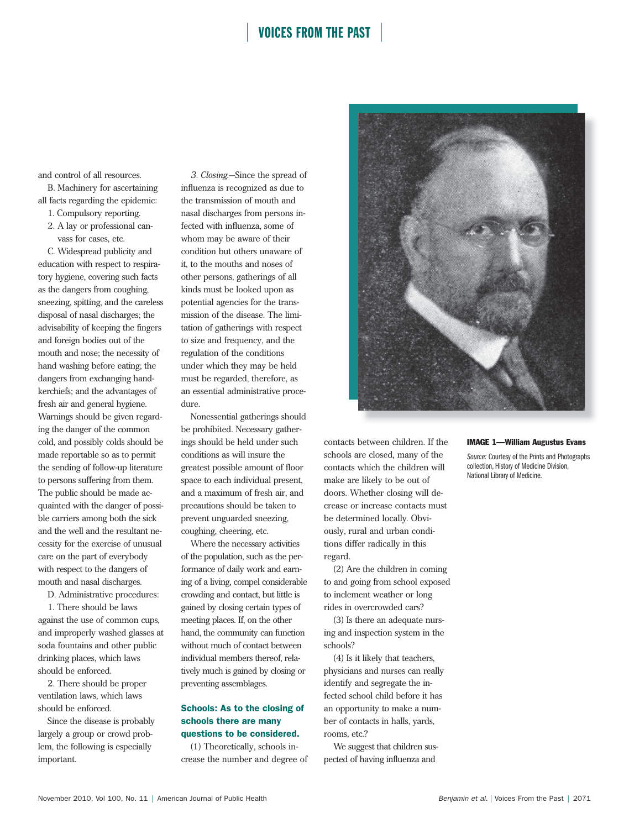# **VOICES FROM THE PAST**

and control of all resources.

B. Machinery for ascertaining all facts regarding the epidemic:

- 1. Compulsory reporting.
- 2. A lay or professional canvass for cases, etc.

C. Widespread publicity and education with respect to respiratory hygiene, covering such facts as the dangers from coughing, sneezing, spitting, and the careless disposal of nasal discharges; the advisability of keeping the fingers and foreign bodies out of the mouth and nose; the necessity of hand washing before eating; the dangers from exchanging handkerchiefs; and the advantages of fresh air and general hygiene. Warnings should be given regarding the danger of the common cold, and possibly colds should be made reportable so as to permit the sending of follow-up literature to persons suffering from them. The public should be made acquainted with the danger of possible carriers among both the sick and the well and the resultant necessity for the exercise of unusual care on the part of everybody with respect to the dangers of mouth and nasal discharges.

D. Administrative procedures:

1. There should be laws against the use of common cups, and improperly washed glasses at soda fountains and other public drinking places, which laws should be enforced.

2. There should be proper ventilation laws, which laws should be enforced.

Since the disease is probably largely a group or crowd problem, the following is especially important.

*3. Closing*.—Since the spread of influenza is recognized as due to the transmission of mouth and nasal discharges from persons infected with influenza, some of whom may be aware of their condition but others unaware of it, to the mouths and noses of other persons, gatherings of all kinds must be looked upon as potential agencies for the transmission of the disease. The limitation of gatherings with respect to size and frequency, and the regulation of the conditions under which they may be held must be regarded, therefore, as an essential administrative procedure.

Nonessential gatherings should be prohibited. Necessary gatherings should be held under such conditions as will insure the greatest possible amount of floor space to each individual present, and a maximum of fresh air, and precautions should be taken to prevent unguarded sneezing, coughing, cheering, etc.

Where the necessary activities of the population, such as the performance of daily work and earning of a living, compel considerable crowding and contact, but little is gained by closing certain types of meeting places. If, on the other hand, the community can function without much of contact between individual members thereof, relatively much is gained by closing or preventing assemblages.

## Schools: As to the closing of schools there are many questions to be considered.

(1) Theoretically, schools increase the number and degree of



contacts between children. If the schools are closed, many of the contacts which the children will make are likely to be out of doors. Whether closing will decrease or increase contacts must be determined locally. Obviously, rural and urban conditions differ radically in this regard.

(2) Are the children in coming to and going from school exposed to inclement weather or long rides in overcrowded cars?

(3) Is there an adequate nursing and inspection system in the schools?

(4) Is it likely that teachers, physicians and nurses can really identify and segregate the infected school child before it has an opportunity to make a number of contacts in halls, yards, rooms, etc.?

We suggest that children suspected of having influenza and

#### IMAGE 1—William Augustus Evans

*Source:* Courtesy of the Prints and Photographs collection, History of Medicine Division, National Library of Medicine.